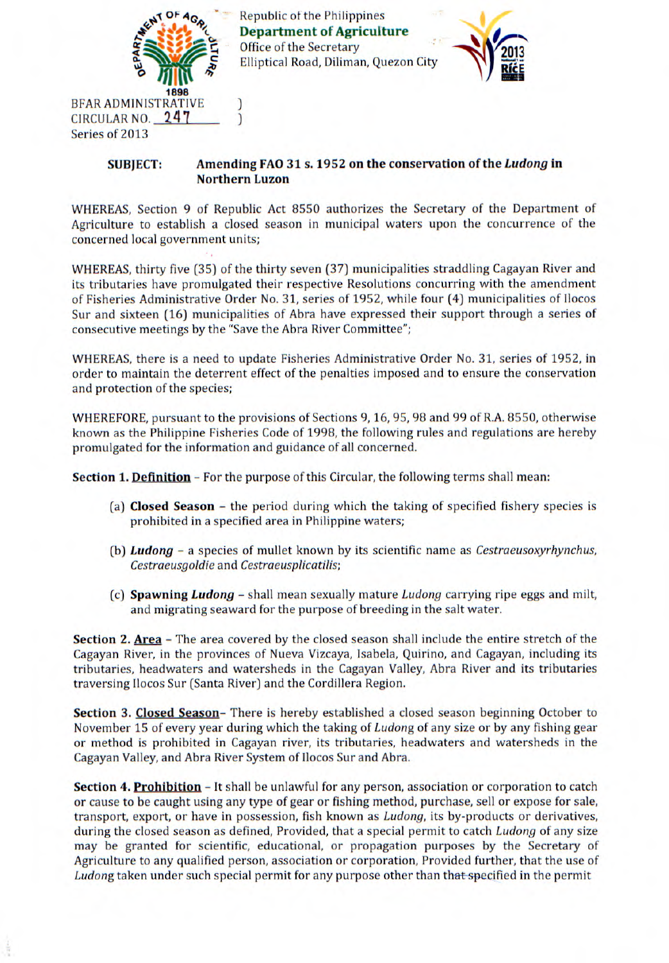

 $\overline{\phantom{a}}$ 

Republic of the Philippines **Department of Agriculture Office of the Secretary** Elliptical Road, Diliman, Quezon City



## **SUBJECT: Amending FAO 31 s. 1952 on the conservation of the Ludong in Northern Luzon**

WHEREAS, Section 9 of Republic Act 8550 authorizes the Secretary of the Department of Agriculture to establish a closed season in municipal waters upon the concurrence of the concerned local government units;

WHEREAS, thirty five (35) of the thirty seven (37) municipalities straddling Cagayan River and its tributaries have promulgated their respective Resolutions concurring with the amendment of Fisheries Administrative Order No. 31, series of 1952, while four (4) municipalities of Ilocos Sur and sixteen (16) municipalities of Abra have expressed their support through a series of consecutive meetings by the "Save the Abra River Committee";

WHEREAS, there is a need to update Fisheries Administrative Order No. 31, series of 1952, in order to maintain the deterrent effect of the penalties imposed and to ensure the conservation and protection of the species;

WHEREFORE, pursuant to the provisions of Sections 9, 16, 95, 98 and 99 of R.A. 8550, otherwise known as the Philippine Fisheries Code of 1998, the following rules and regulations are hereby promulgated for the information and guidance of all concerned.

**Section 1. Definition** – For the purpose of this Circular, the following terms shall mean:

- **(a) Closed Season**  the period during which the taking of specified fishery species is prohibited in a specified area in Philippine waters;
- **(b) Ludong** a species of mullet known by its scientific name as Cestraeusoxyrhynchus, Cestraeusgoldie and Cestraeusplicatilis;
- **(c) Spawning Ludong**  shall mean sexually mature Ludong carrying ripe eggs and milt, and migrating seaward for the purpose of breeding in the salt water.

**Section 2. Area** – The area covered by the closed season shall include the entire stretch of the Cagayan River, in the provinces of Nueva Vizcaya, Isabela, Quirino, and Cagayan, including its tributaries, headwaters and watersheds in the Cagayan Valley, Abra River and its tributaries traversing liocos Sur (Santa River) and the Cordillera Region.

**Section 3. Closed Season-** There is hereby established a closed season beginning October to November 15 of every year during which the taking of Ludong of any size or by any fishing gear or method is prohibited in Cagayan river, its tributaries, headwaters and watersheds in the Cagayan Valley, and Abra River System of Ilocos Sur and Abra.

**Section 4. Prohibition** - It shall be unlawful for any person, association or corporation to catch or cause to be caught using any type of gear or fishing method, purchase, sell or expose for sale, transport, export, or have in possession, fish known as *Ludong*, its by-products or derivatives, during the closed season as defined, Provided, that a special permit to catch Ludong of any size may be granted for scientific, educational, or propagation purposes by the Secretary of Agriculture to any qualified person, association or corporation, Provided further, that the use of Ludong taken under such special permit for any purpose other than that specified in the permit